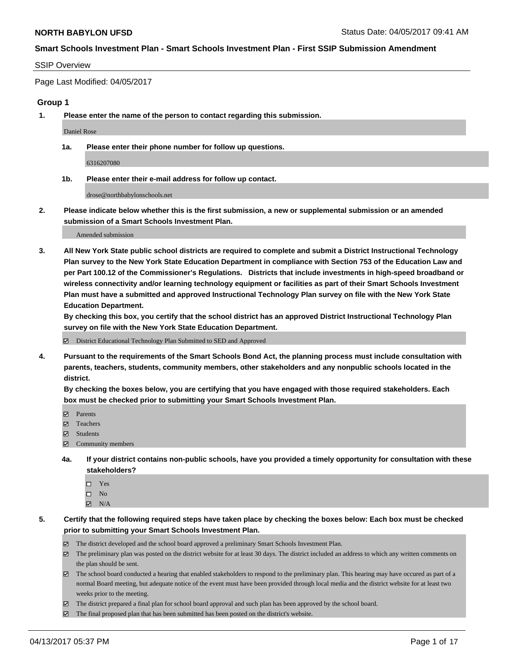#### SSIP Overview

Page Last Modified: 04/05/2017

#### **Group 1**

**1. Please enter the name of the person to contact regarding this submission.**

Daniel Rose

**1a. Please enter their phone number for follow up questions.**

6316207080

**1b. Please enter their e-mail address for follow up contact.**

drose@northbabylonschools.net

**2. Please indicate below whether this is the first submission, a new or supplemental submission or an amended submission of a Smart Schools Investment Plan.**

Amended submission

**3. All New York State public school districts are required to complete and submit a District Instructional Technology Plan survey to the New York State Education Department in compliance with Section 753 of the Education Law and per Part 100.12 of the Commissioner's Regulations. Districts that include investments in high-speed broadband or wireless connectivity and/or learning technology equipment or facilities as part of their Smart Schools Investment Plan must have a submitted and approved Instructional Technology Plan survey on file with the New York State Education Department.** 

**By checking this box, you certify that the school district has an approved District Instructional Technology Plan survey on file with the New York State Education Department.**

District Educational Technology Plan Submitted to SED and Approved

**4. Pursuant to the requirements of the Smart Schools Bond Act, the planning process must include consultation with parents, teachers, students, community members, other stakeholders and any nonpublic schools located in the district.** 

**By checking the boxes below, you are certifying that you have engaged with those required stakeholders. Each box must be checked prior to submitting your Smart Schools Investment Plan.**

- **マ** Parents
- **□** Teachers
- Students
- $\Xi$  Community members
- **4a. If your district contains non-public schools, have you provided a timely opportunity for consultation with these stakeholders?**
	- Yes
	- $\hfill \square$  No
	- $\boxtimes$  N/A
- **5. Certify that the following required steps have taken place by checking the boxes below: Each box must be checked prior to submitting your Smart Schools Investment Plan.**
	- The district developed and the school board approved a preliminary Smart Schools Investment Plan.
	- $\boxtimes$  The preliminary plan was posted on the district website for at least 30 days. The district included an address to which any written comments on the plan should be sent.
	- $\boxtimes$  The school board conducted a hearing that enabled stakeholders to respond to the preliminary plan. This hearing may have occured as part of a normal Board meeting, but adequate notice of the event must have been provided through local media and the district website for at least two weeks prior to the meeting.
	- The district prepared a final plan for school board approval and such plan has been approved by the school board.
	- The final proposed plan that has been submitted has been posted on the district's website.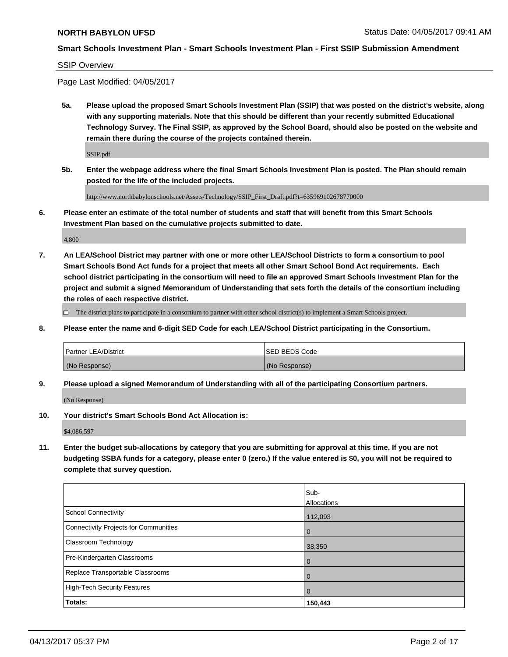#### SSIP Overview

Page Last Modified: 04/05/2017

**5a. Please upload the proposed Smart Schools Investment Plan (SSIP) that was posted on the district's website, along with any supporting materials. Note that this should be different than your recently submitted Educational Technology Survey. The Final SSIP, as approved by the School Board, should also be posted on the website and remain there during the course of the projects contained therein.**

SSIP.pdf

**5b. Enter the webpage address where the final Smart Schools Investment Plan is posted. The Plan should remain posted for the life of the included projects.**

http://www.northbabylonschools.net/Assets/Technology/SSIP\_First\_Draft.pdf?t=635969102678770000

**6. Please enter an estimate of the total number of students and staff that will benefit from this Smart Schools Investment Plan based on the cumulative projects submitted to date.**

4,800

**7. An LEA/School District may partner with one or more other LEA/School Districts to form a consortium to pool Smart Schools Bond Act funds for a project that meets all other Smart School Bond Act requirements. Each school district participating in the consortium will need to file an approved Smart Schools Investment Plan for the project and submit a signed Memorandum of Understanding that sets forth the details of the consortium including the roles of each respective district.**

 $\Box$  The district plans to participate in a consortium to partner with other school district(s) to implement a Smart Schools project.

**8. Please enter the name and 6-digit SED Code for each LEA/School District participating in the Consortium.**

| <b>Partner LEA/District</b> | <b>ISED BEDS Code</b> |
|-----------------------------|-----------------------|
| (No Response)               | (No Response)         |

**9. Please upload a signed Memorandum of Understanding with all of the participating Consortium partners.**

(No Response)

**10. Your district's Smart Schools Bond Act Allocation is:**

\$4,086,597

**11. Enter the budget sub-allocations by category that you are submitting for approval at this time. If you are not budgeting SSBA funds for a category, please enter 0 (zero.) If the value entered is \$0, you will not be required to complete that survey question.**

|                                       | Sub-        |
|---------------------------------------|-------------|
|                                       | Allocations |
| <b>School Connectivity</b>            | 112,093     |
| Connectivity Projects for Communities | $\mathbf 0$ |
| <b>Classroom Technology</b>           | 38,350      |
| Pre-Kindergarten Classrooms           | 0           |
| Replace Transportable Classrooms      | 0           |
| <b>High-Tech Security Features</b>    | 0           |
| Totals:                               | 150,443     |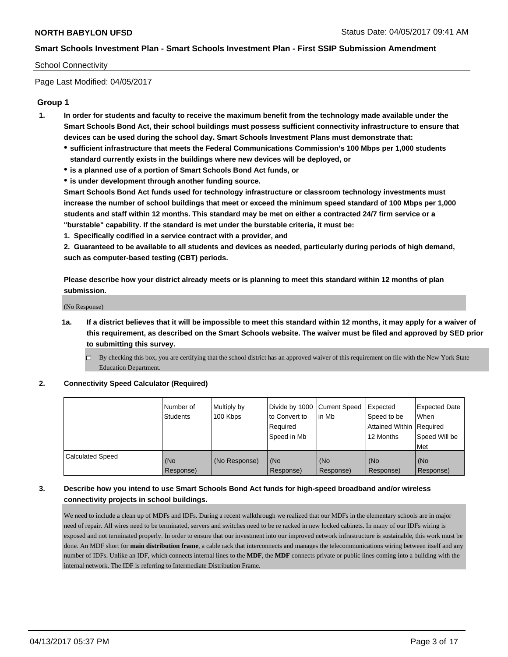#### School Connectivity

Page Last Modified: 04/05/2017

# **Group 1**

- **1. In order for students and faculty to receive the maximum benefit from the technology made available under the Smart Schools Bond Act, their school buildings must possess sufficient connectivity infrastructure to ensure that devices can be used during the school day. Smart Schools Investment Plans must demonstrate that:**
	- **sufficient infrastructure that meets the Federal Communications Commission's 100 Mbps per 1,000 students standard currently exists in the buildings where new devices will be deployed, or**
	- **is a planned use of a portion of Smart Schools Bond Act funds, or**
	- **is under development through another funding source.**

**Smart Schools Bond Act funds used for technology infrastructure or classroom technology investments must increase the number of school buildings that meet or exceed the minimum speed standard of 100 Mbps per 1,000 students and staff within 12 months. This standard may be met on either a contracted 24/7 firm service or a "burstable" capability. If the standard is met under the burstable criteria, it must be:**

**1. Specifically codified in a service contract with a provider, and**

**2. Guaranteed to be available to all students and devices as needed, particularly during periods of high demand, such as computer-based testing (CBT) periods.**

**Please describe how your district already meets or is planning to meet this standard within 12 months of plan submission.**

(No Response)

- **1a. If a district believes that it will be impossible to meet this standard within 12 months, it may apply for a waiver of this requirement, as described on the Smart Schools website. The waiver must be filed and approved by SED prior to submitting this survey.**
	- By checking this box, you are certifying that the school district has an approved waiver of this requirement on file with the New York State Education Department.

#### **2. Connectivity Speed Calculator (Required)**

|                         | Number of<br>Students | Multiply by<br>100 Kbps | Divide by 1000 Current Speed<br>to Convert to<br>Reauired<br>Speed in Mb | in Mb            | Expected<br>Speed to be<br>Attained Within   Required<br>12 Months | <b>Expected Date</b><br>When<br>Speed Will be<br>Met |
|-------------------------|-----------------------|-------------------------|--------------------------------------------------------------------------|------------------|--------------------------------------------------------------------|------------------------------------------------------|
| <b>Calculated Speed</b> | (No<br>Response)      | (No Response)           | (No<br>Response)                                                         | (No<br>Response) | (No<br>Response)                                                   | (No<br>Response)                                     |

# **3. Describe how you intend to use Smart Schools Bond Act funds for high-speed broadband and/or wireless connectivity projects in school buildings.**

We need to include a clean up of MDFs and IDFs. During a recent walkthrough we realized that our MDFs in the elementary schools are in major need of repair. All wires need to be terminated, servers and switches need to be re racked in new locked cabinets. In many of our IDFs wiring is exposed and not terminated properly. In order to ensure that our investment into our improved network infrastructure is sustainable, this work must be done. An MDF short for **main distribution frame**, a cable rack that interconnects and manages the telecommunications wiring between itself and any number of IDFs. Unlike an IDF, which connects internal lines to the **MDF**, the **MDF** connects private or public lines coming into a building with the internal network. The IDF is referring to Intermediate Distribution Frame.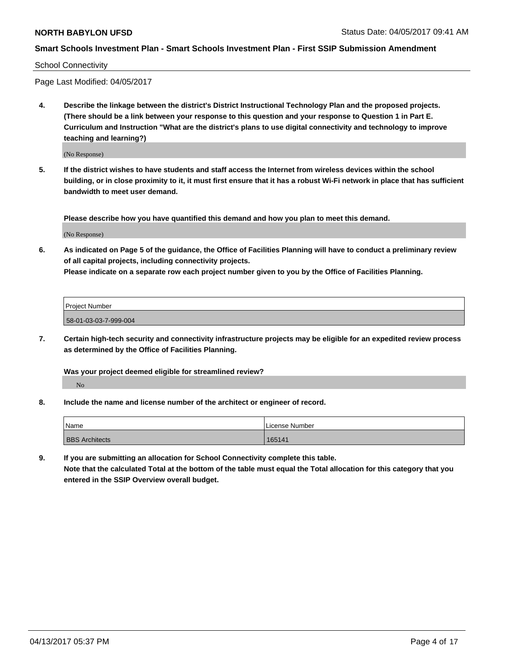School Connectivity

Page Last Modified: 04/05/2017

**4. Describe the linkage between the district's District Instructional Technology Plan and the proposed projects. (There should be a link between your response to this question and your response to Question 1 in Part E. Curriculum and Instruction "What are the district's plans to use digital connectivity and technology to improve teaching and learning?)**

(No Response)

**5. If the district wishes to have students and staff access the Internet from wireless devices within the school building, or in close proximity to it, it must first ensure that it has a robust Wi-Fi network in place that has sufficient bandwidth to meet user demand.**

**Please describe how you have quantified this demand and how you plan to meet this demand.**

(No Response)

**6. As indicated on Page 5 of the guidance, the Office of Facilities Planning will have to conduct a preliminary review of all capital projects, including connectivity projects.**

**Please indicate on a separate row each project number given to you by the Office of Facilities Planning.**

| <b>Project Number</b> |  |
|-----------------------|--|
| 58-01-03-03-7-999-004 |  |

**7. Certain high-tech security and connectivity infrastructure projects may be eligible for an expedited review process as determined by the Office of Facilities Planning.**

**Was your project deemed eligible for streamlined review?**

No

**8. Include the name and license number of the architect or engineer of record.**

| Name                  | License Number |
|-----------------------|----------------|
| <b>BBS Architects</b> | 165141         |

**9. If you are submitting an allocation for School Connectivity complete this table. Note that the calculated Total at the bottom of the table must equal the Total allocation for this category that you entered in the SSIP Overview overall budget.**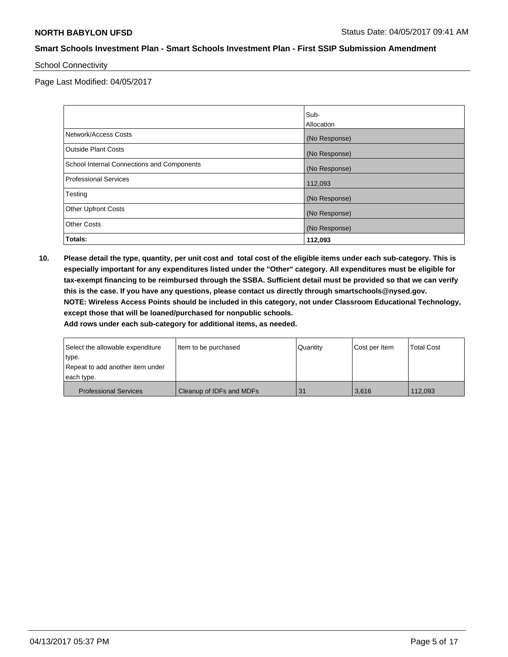#### School Connectivity

Page Last Modified: 04/05/2017

|                                            | Sub-<br>Allocation |
|--------------------------------------------|--------------------|
| Network/Access Costs                       | (No Response)      |
| <b>Outside Plant Costs</b>                 | (No Response)      |
| School Internal Connections and Components | (No Response)      |
| <b>Professional Services</b>               | 112,093            |
| Testing                                    | (No Response)      |
| <b>Other Upfront Costs</b>                 | (No Response)      |
| <b>Other Costs</b>                         | (No Response)      |
| Totals:                                    | 112,093            |

**10. Please detail the type, quantity, per unit cost and total cost of the eligible items under each sub-category. This is especially important for any expenditures listed under the "Other" category. All expenditures must be eligible for tax-exempt financing to be reimbursed through the SSBA. Sufficient detail must be provided so that we can verify this is the case. If you have any questions, please contact us directly through smartschools@nysed.gov. NOTE: Wireless Access Points should be included in this category, not under Classroom Educational Technology, except those that will be loaned/purchased for nonpublic schools.**

| Select the allowable expenditure | Item to be purchased     | Quantity | Cost per Item | <b>Total Cost</b> |
|----------------------------------|--------------------------|----------|---------------|-------------------|
| type.                            |                          |          |               |                   |
| Repeat to add another item under |                          |          |               |                   |
| each type.                       |                          |          |               |                   |
| <b>Professional Services</b>     | Cleanup of IDFs and MDFs | -31      | 3.616         | 112.093           |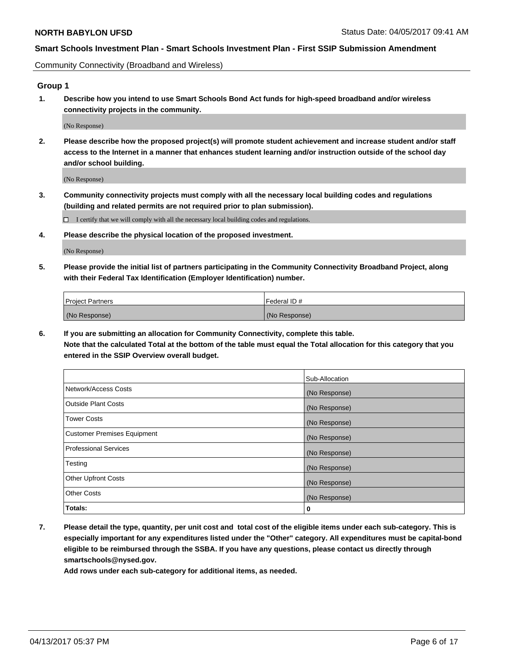Community Connectivity (Broadband and Wireless)

### **Group 1**

**1. Describe how you intend to use Smart Schools Bond Act funds for high-speed broadband and/or wireless connectivity projects in the community.**

(No Response)

**2. Please describe how the proposed project(s) will promote student achievement and increase student and/or staff access to the Internet in a manner that enhances student learning and/or instruction outside of the school day and/or school building.**

(No Response)

**3. Community connectivity projects must comply with all the necessary local building codes and regulations (building and related permits are not required prior to plan submission).**

 $\Box$  I certify that we will comply with all the necessary local building codes and regulations.

**4. Please describe the physical location of the proposed investment.**

(No Response)

**5. Please provide the initial list of partners participating in the Community Connectivity Broadband Project, along with their Federal Tax Identification (Employer Identification) number.**

| <b>Project Partners</b> | Federal ID#   |
|-------------------------|---------------|
| (No Response)           | (No Response) |

**6. If you are submitting an allocation for Community Connectivity, complete this table. Note that the calculated Total at the bottom of the table must equal the Total allocation for this category that you entered in the SSIP Overview overall budget.**

|                             | Sub-Allocation |
|-----------------------------|----------------|
| Network/Access Costs        | (No Response)  |
| Outside Plant Costs         | (No Response)  |
| <b>Tower Costs</b>          | (No Response)  |
| Customer Premises Equipment | (No Response)  |
| Professional Services       | (No Response)  |
| Testing                     | (No Response)  |
| <b>Other Upfront Costs</b>  | (No Response)  |
| <b>Other Costs</b>          | (No Response)  |
| Totals:                     | 0              |

**7. Please detail the type, quantity, per unit cost and total cost of the eligible items under each sub-category. This is especially important for any expenditures listed under the "Other" category. All expenditures must be capital-bond eligible to be reimbursed through the SSBA. If you have any questions, please contact us directly through smartschools@nysed.gov.**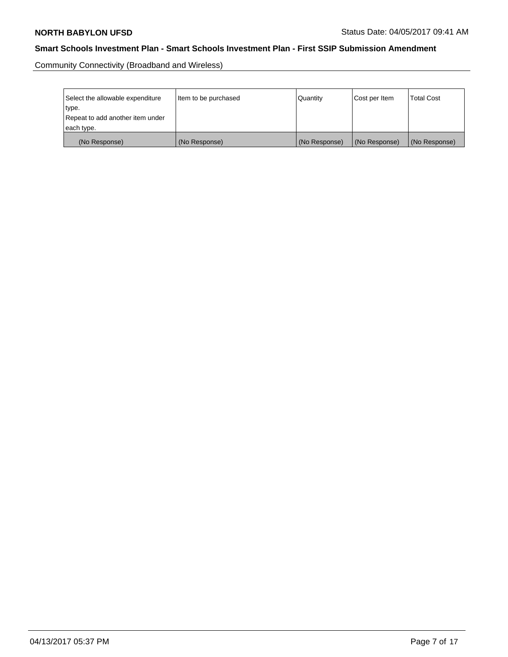Community Connectivity (Broadband and Wireless)

| Select the allowable expenditure | Item to be purchased | Quantity      | Cost per Item | <b>Total Cost</b> |
|----------------------------------|----------------------|---------------|---------------|-------------------|
| type.                            |                      |               |               |                   |
| Repeat to add another item under |                      |               |               |                   |
| each type.                       |                      |               |               |                   |
| (No Response)                    | (No Response)        | (No Response) | (No Response) | (No Response)     |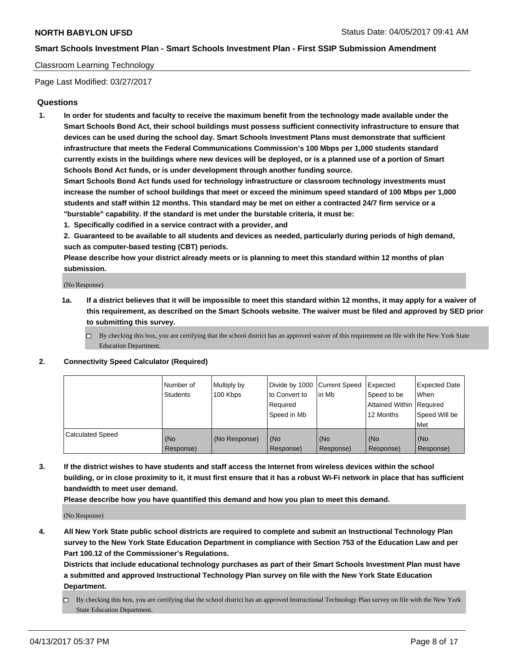#### Classroom Learning Technology

Page Last Modified: 03/27/2017

### **Questions**

**1. In order for students and faculty to receive the maximum benefit from the technology made available under the Smart Schools Bond Act, their school buildings must possess sufficient connectivity infrastructure to ensure that devices can be used during the school day. Smart Schools Investment Plans must demonstrate that sufficient infrastructure that meets the Federal Communications Commission's 100 Mbps per 1,000 students standard currently exists in the buildings where new devices will be deployed, or is a planned use of a portion of Smart Schools Bond Act funds, or is under development through another funding source.**

**Smart Schools Bond Act funds used for technology infrastructure or classroom technology investments must increase the number of school buildings that meet or exceed the minimum speed standard of 100 Mbps per 1,000 students and staff within 12 months. This standard may be met on either a contracted 24/7 firm service or a "burstable" capability. If the standard is met under the burstable criteria, it must be:**

- **1. Specifically codified in a service contract with a provider, and**
- **2. Guaranteed to be available to all students and devices as needed, particularly during periods of high demand, such as computer-based testing (CBT) periods.**

**Please describe how your district already meets or is planning to meet this standard within 12 months of plan submission.**

(No Response)

- **1a. If a district believes that it will be impossible to meet this standard within 12 months, it may apply for a waiver of this requirement, as described on the Smart Schools website. The waiver must be filed and approved by SED prior to submitting this survey.**
	- $\Box$  By checking this box, you are certifying that the school district has an approved waiver of this requirement on file with the New York State Education Department.

#### **2. Connectivity Speed Calculator (Required)**

|                         | l Number of<br>Students | Multiply by<br>100 Kbps | Divide by 1000   Current Speed<br>to Convert to<br>Required<br>Speed in Mb | lin Mb           | Expected<br>Speed to be<br>Attained Within Required<br>12 Months | <b>Expected Date</b><br>When<br>Speed Will be<br>Met |
|-------------------------|-------------------------|-------------------------|----------------------------------------------------------------------------|------------------|------------------------------------------------------------------|------------------------------------------------------|
| <b>Calculated Speed</b> | (No<br>Response)        | (No Response)           | (No<br>Response)                                                           | (No<br>Response) | (No<br>Response)                                                 | (No<br>Response)                                     |

**3. If the district wishes to have students and staff access the Internet from wireless devices within the school building, or in close proximity to it, it must first ensure that it has a robust Wi-Fi network in place that has sufficient bandwidth to meet user demand.**

**Please describe how you have quantified this demand and how you plan to meet this demand.**

(No Response)

**4. All New York State public school districts are required to complete and submit an Instructional Technology Plan survey to the New York State Education Department in compliance with Section 753 of the Education Law and per Part 100.12 of the Commissioner's Regulations.**

**Districts that include educational technology purchases as part of their Smart Schools Investment Plan must have a submitted and approved Instructional Technology Plan survey on file with the New York State Education Department.**

 $\Box$  By checking this box, you are certifying that the school district has an approved Instructional Technology Plan survey on file with the New York State Education Department.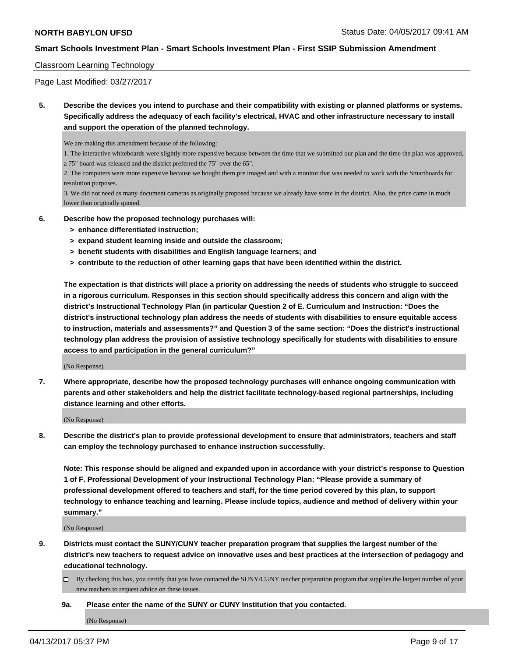#### Classroom Learning Technology

Page Last Modified: 03/27/2017

**5. Describe the devices you intend to purchase and their compatibility with existing or planned platforms or systems. Specifically address the adequacy of each facility's electrical, HVAC and other infrastructure necessary to install and support the operation of the planned technology.**

We are making this amendment because of the following:

1. The interactive whiteboards were slightly more expensive because between the time that we submitted our plan and the time the plan was approved,

a 75" board was released and the district preferred the 75" over the 65".

2. The computers were more expensive because we bought them pre imaged and with a monitor that was needed to work with the Smartboards for resolution purposes.

3. We did not need as many document cameras as originally proposed because we already have some in the district. Also, the price came in much lower than originally quoted.

- **6. Describe how the proposed technology purchases will:**
	- **> enhance differentiated instruction;**
	- **> expand student learning inside and outside the classroom;**
	- **> benefit students with disabilities and English language learners; and**
	- **> contribute to the reduction of other learning gaps that have been identified within the district.**

**The expectation is that districts will place a priority on addressing the needs of students who struggle to succeed in a rigorous curriculum. Responses in this section should specifically address this concern and align with the district's Instructional Technology Plan (in particular Question 2 of E. Curriculum and Instruction: "Does the district's instructional technology plan address the needs of students with disabilities to ensure equitable access to instruction, materials and assessments?" and Question 3 of the same section: "Does the district's instructional technology plan address the provision of assistive technology specifically for students with disabilities to ensure access to and participation in the general curriculum?"**

(No Response)

**7. Where appropriate, describe how the proposed technology purchases will enhance ongoing communication with parents and other stakeholders and help the district facilitate technology-based regional partnerships, including distance learning and other efforts.**

(No Response)

**8. Describe the district's plan to provide professional development to ensure that administrators, teachers and staff can employ the technology purchased to enhance instruction successfully.**

**Note: This response should be aligned and expanded upon in accordance with your district's response to Question 1 of F. Professional Development of your Instructional Technology Plan: "Please provide a summary of professional development offered to teachers and staff, for the time period covered by this plan, to support technology to enhance teaching and learning. Please include topics, audience and method of delivery within your summary."**

(No Response)

- **9. Districts must contact the SUNY/CUNY teacher preparation program that supplies the largest number of the district's new teachers to request advice on innovative uses and best practices at the intersection of pedagogy and educational technology.**
	- By checking this box, you certify that you have contacted the SUNY/CUNY teacher preparation program that supplies the largest number of your new teachers to request advice on these issues.

#### **9a. Please enter the name of the SUNY or CUNY Institution that you contacted.**

(No Response)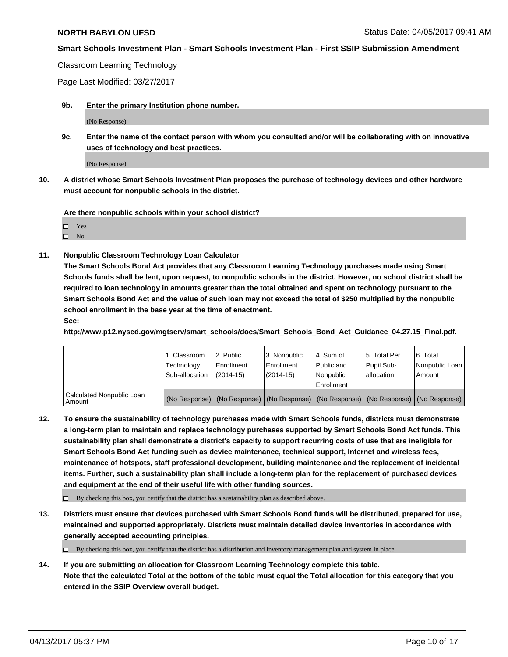Classroom Learning Technology

Page Last Modified: 03/27/2017

**9b. Enter the primary Institution phone number.**

(No Response)

**9c. Enter the name of the contact person with whom you consulted and/or will be collaborating with on innovative uses of technology and best practices.**

(No Response)

**10. A district whose Smart Schools Investment Plan proposes the purchase of technology devices and other hardware must account for nonpublic schools in the district.**

**Are there nonpublic schools within your school district?**

| ٠ |
|---|
|   |

 $\square$  No

**11. Nonpublic Classroom Technology Loan Calculator**

**The Smart Schools Bond Act provides that any Classroom Learning Technology purchases made using Smart Schools funds shall be lent, upon request, to nonpublic schools in the district. However, no school district shall be required to loan technology in amounts greater than the total obtained and spent on technology pursuant to the Smart Schools Bond Act and the value of such loan may not exceed the total of \$250 multiplied by the nonpublic school enrollment in the base year at the time of enactment.**

**See:**

**http://www.p12.nysed.gov/mgtserv/smart\_schools/docs/Smart\_Schools\_Bond\_Act\_Guidance\_04.27.15\_Final.pdf.**

|                                       | 1. Classroom<br>Technology<br>Sub-allocation | 2. Public<br>l Enrollment<br>$(2014 - 15)$ | 3. Nonpublic<br>Enrollment<br>$(2014-15)$ | l 4. Sum of<br>Public and<br>l Nonpublic<br>l Enrollment | 15. Total Per<br>Pupil Sub-<br>lallocation                                                    | l 6. Total<br>Nonpublic Loan<br>Amount |
|---------------------------------------|----------------------------------------------|--------------------------------------------|-------------------------------------------|----------------------------------------------------------|-----------------------------------------------------------------------------------------------|----------------------------------------|
| Calculated Nonpublic Loan<br>l Amount |                                              |                                            |                                           |                                                          | (No Response)   (No Response)   (No Response)   (No Response)   (No Response)   (No Response) |                                        |

**12. To ensure the sustainability of technology purchases made with Smart Schools funds, districts must demonstrate a long-term plan to maintain and replace technology purchases supported by Smart Schools Bond Act funds. This sustainability plan shall demonstrate a district's capacity to support recurring costs of use that are ineligible for Smart Schools Bond Act funding such as device maintenance, technical support, Internet and wireless fees, maintenance of hotspots, staff professional development, building maintenance and the replacement of incidental items. Further, such a sustainability plan shall include a long-term plan for the replacement of purchased devices and equipment at the end of their useful life with other funding sources.**

 $\Box$  By checking this box, you certify that the district has a sustainability plan as described above.

**13. Districts must ensure that devices purchased with Smart Schools Bond funds will be distributed, prepared for use, maintained and supported appropriately. Districts must maintain detailed device inventories in accordance with generally accepted accounting principles.**

By checking this box, you certify that the district has a distribution and inventory management plan and system in place.

**14. If you are submitting an allocation for Classroom Learning Technology complete this table. Note that the calculated Total at the bottom of the table must equal the Total allocation for this category that you entered in the SSIP Overview overall budget.**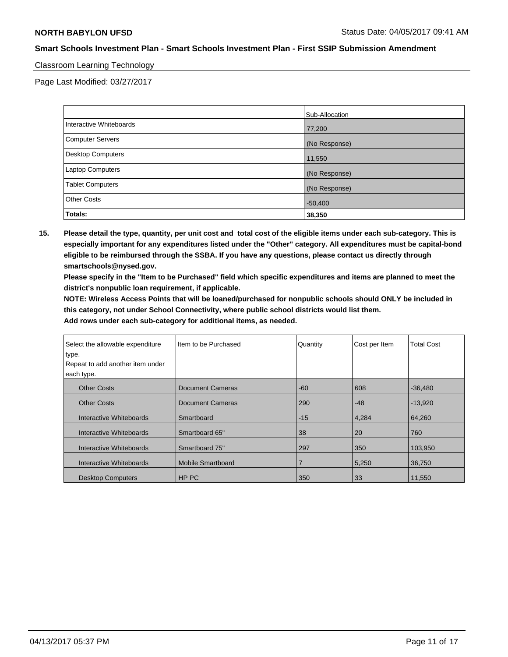# Classroom Learning Technology

Page Last Modified: 03/27/2017

|                         | Sub-Allocation |
|-------------------------|----------------|
| Interactive Whiteboards | 77,200         |
| Computer Servers        | (No Response)  |
| Desktop Computers       | 11,550         |
| Laptop Computers        | (No Response)  |
| <b>Tablet Computers</b> | (No Response)  |
| <b>Other Costs</b>      | $-50,400$      |
| Totals:                 | 38,350         |

**15. Please detail the type, quantity, per unit cost and total cost of the eligible items under each sub-category. This is especially important for any expenditures listed under the "Other" category. All expenditures must be capital-bond eligible to be reimbursed through the SSBA. If you have any questions, please contact us directly through smartschools@nysed.gov.**

**Please specify in the "Item to be Purchased" field which specific expenditures and items are planned to meet the district's nonpublic loan requirement, if applicable.**

**NOTE: Wireless Access Points that will be loaned/purchased for nonpublic schools should ONLY be included in this category, not under School Connectivity, where public school districts would list them.**

| Select the allowable expenditure | Item to be Purchased    | Quantity       | Cost per Item | <b>Total Cost</b> |
|----------------------------------|-------------------------|----------------|---------------|-------------------|
| type.                            |                         |                |               |                   |
| Repeat to add another item under |                         |                |               |                   |
| each type.                       |                         |                |               |                   |
| <b>Other Costs</b>               | <b>Document Cameras</b> | $-60$          | 608           | $-36.480$         |
| <b>Other Costs</b>               | <b>Document Cameras</b> | 290            | $-48$         | $-13,920$         |
| Interactive Whiteboards          | Smartboard              | $-15$          | 4,284         | 64,260            |
| Interactive Whiteboards          | Smartboard 65"          | 38             | 20            | 760               |
| Interactive Whiteboards          | Smartboard 75"          | 297            | 350           | 103,950           |
| Interactive Whiteboards          | Mobile Smartboard       | $\overline{7}$ | 5,250         | 36,750            |
| <b>Desktop Computers</b>         | HP PC                   | 350            | 33            | 11,550            |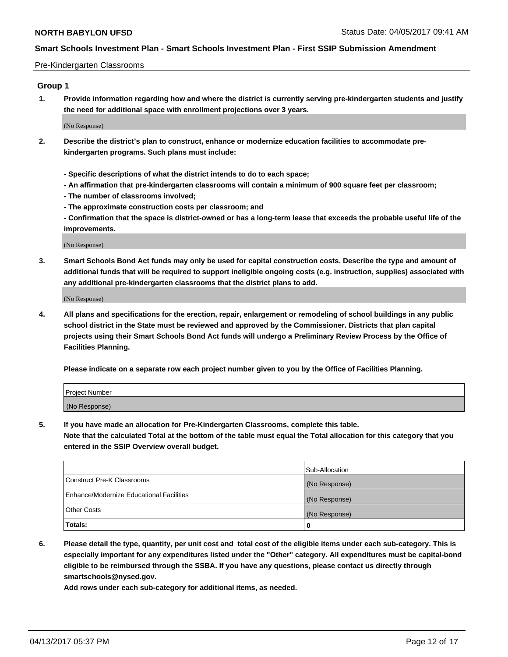Pre-Kindergarten Classrooms

## **Group 1**

**1. Provide information regarding how and where the district is currently serving pre-kindergarten students and justify the need for additional space with enrollment projections over 3 years.**

(No Response)

- **2. Describe the district's plan to construct, enhance or modernize education facilities to accommodate prekindergarten programs. Such plans must include:**
	- **Specific descriptions of what the district intends to do to each space;**
	- **An affirmation that pre-kindergarten classrooms will contain a minimum of 900 square feet per classroom;**
	- **The number of classrooms involved;**
	- **The approximate construction costs per classroom; and**

**- Confirmation that the space is district-owned or has a long-term lease that exceeds the probable useful life of the improvements.**

(No Response)

**3. Smart Schools Bond Act funds may only be used for capital construction costs. Describe the type and amount of additional funds that will be required to support ineligible ongoing costs (e.g. instruction, supplies) associated with any additional pre-kindergarten classrooms that the district plans to add.**

(No Response)

**4. All plans and specifications for the erection, repair, enlargement or remodeling of school buildings in any public school district in the State must be reviewed and approved by the Commissioner. Districts that plan capital projects using their Smart Schools Bond Act funds will undergo a Preliminary Review Process by the Office of Facilities Planning.**

**Please indicate on a separate row each project number given to you by the Office of Facilities Planning.**

| Project Number |  |
|----------------|--|
| (No Response)  |  |

**5. If you have made an allocation for Pre-Kindergarten Classrooms, complete this table.**

**Note that the calculated Total at the bottom of the table must equal the Total allocation for this category that you entered in the SSIP Overview overall budget.**

|                                          | Sub-Allocation |
|------------------------------------------|----------------|
| Construct Pre-K Classrooms               | (No Response)  |
| Enhance/Modernize Educational Facilities | (No Response)  |
| Other Costs                              | (No Response)  |
| Totals:                                  | 0              |

**6. Please detail the type, quantity, per unit cost and total cost of the eligible items under each sub-category. This is especially important for any expenditures listed under the "Other" category. All expenditures must be capital-bond eligible to be reimbursed through the SSBA. If you have any questions, please contact us directly through smartschools@nysed.gov.**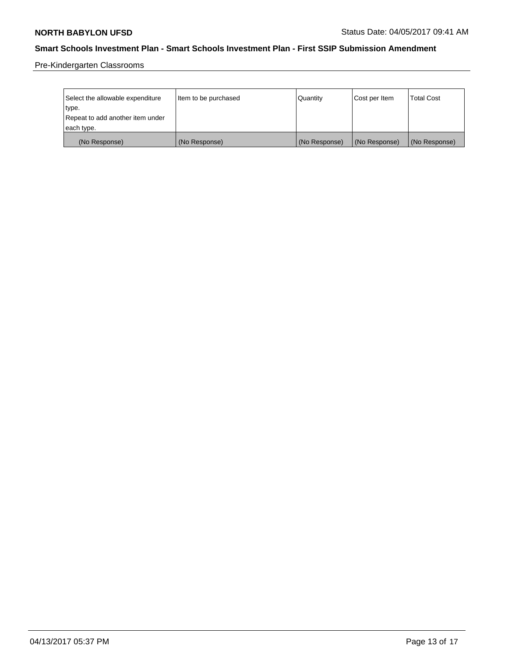Pre-Kindergarten Classrooms

| Select the allowable expenditure | Item to be purchased | Quantity      | Cost per Item | <b>Total Cost</b> |
|----------------------------------|----------------------|---------------|---------------|-------------------|
| type.                            |                      |               |               |                   |
| Repeat to add another item under |                      |               |               |                   |
| each type.                       |                      |               |               |                   |
| (No Response)                    | (No Response)        | (No Response) | (No Response) | (No Response)     |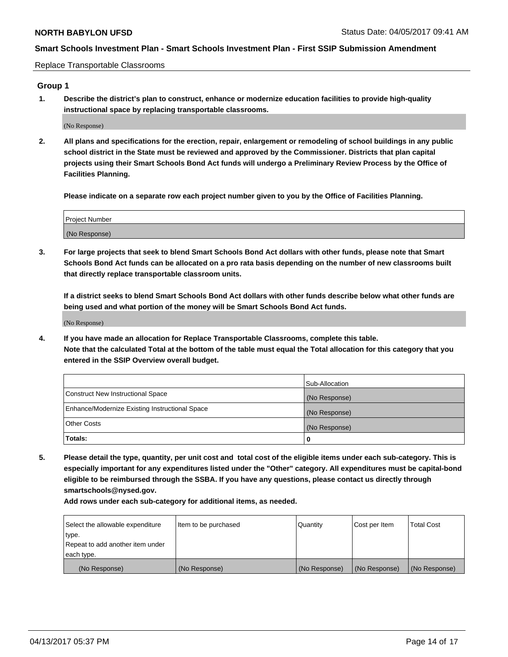Replace Transportable Classrooms

## **Group 1**

**1. Describe the district's plan to construct, enhance or modernize education facilities to provide high-quality instructional space by replacing transportable classrooms.**

(No Response)

**2. All plans and specifications for the erection, repair, enlargement or remodeling of school buildings in any public school district in the State must be reviewed and approved by the Commissioner. Districts that plan capital projects using their Smart Schools Bond Act funds will undergo a Preliminary Review Process by the Office of Facilities Planning.**

**Please indicate on a separate row each project number given to you by the Office of Facilities Planning.**

| Project Number |  |
|----------------|--|
| (No Response)  |  |

**3. For large projects that seek to blend Smart Schools Bond Act dollars with other funds, please note that Smart Schools Bond Act funds can be allocated on a pro rata basis depending on the number of new classrooms built that directly replace transportable classroom units.**

**If a district seeks to blend Smart Schools Bond Act dollars with other funds describe below what other funds are being used and what portion of the money will be Smart Schools Bond Act funds.**

(No Response)

**4. If you have made an allocation for Replace Transportable Classrooms, complete this table. Note that the calculated Total at the bottom of the table must equal the Total allocation for this category that you entered in the SSIP Overview overall budget.**

|                                                | Sub-Allocation |
|------------------------------------------------|----------------|
| Construct New Instructional Space              | (No Response)  |
| Enhance/Modernize Existing Instructional Space | (No Response)  |
| Other Costs                                    | (No Response)  |
| Totals:                                        | 0              |

**5. Please detail the type, quantity, per unit cost and total cost of the eligible items under each sub-category. This is especially important for any expenditures listed under the "Other" category. All expenditures must be capital-bond eligible to be reimbursed through the SSBA. If you have any questions, please contact us directly through smartschools@nysed.gov.**

| Select the allowable expenditure | Item to be purchased | Quantity      | Cost per Item | <b>Total Cost</b> |
|----------------------------------|----------------------|---------------|---------------|-------------------|
| type.                            |                      |               |               |                   |
| Repeat to add another item under |                      |               |               |                   |
| each type.                       |                      |               |               |                   |
| (No Response)                    | (No Response)        | (No Response) | (No Response) | (No Response)     |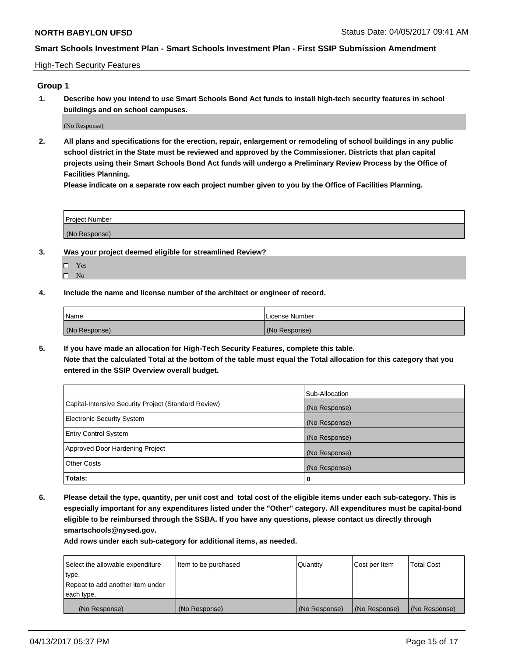High-Tech Security Features

# **Group 1**

**1. Describe how you intend to use Smart Schools Bond Act funds to install high-tech security features in school buildings and on school campuses.**

(No Response)

**2. All plans and specifications for the erection, repair, enlargement or remodeling of school buildings in any public school district in the State must be reviewed and approved by the Commissioner. Districts that plan capital projects using their Smart Schools Bond Act funds will undergo a Preliminary Review Process by the Office of Facilities Planning.** 

**Please indicate on a separate row each project number given to you by the Office of Facilities Planning.**

| <b>Project Number</b> |  |
|-----------------------|--|
| (No Response)         |  |

- **3. Was your project deemed eligible for streamlined Review?**
	- Yes  $\square$  No
- **4. Include the name and license number of the architect or engineer of record.**

| <b>Name</b>   | License Number |
|---------------|----------------|
| (No Response) | (No Response)  |

**5. If you have made an allocation for High-Tech Security Features, complete this table. Note that the calculated Total at the bottom of the table must equal the Total allocation for this category that you entered in the SSIP Overview overall budget.**

|                                                      | Sub-Allocation |
|------------------------------------------------------|----------------|
| Capital-Intensive Security Project (Standard Review) | (No Response)  |
| <b>Electronic Security System</b>                    | (No Response)  |
| <b>Entry Control System</b>                          | (No Response)  |
| Approved Door Hardening Project                      | (No Response)  |
| <b>Other Costs</b>                                   | (No Response)  |
| Totals:                                              | 0              |

**6. Please detail the type, quantity, per unit cost and total cost of the eligible items under each sub-category. This is especially important for any expenditures listed under the "Other" category. All expenditures must be capital-bond eligible to be reimbursed through the SSBA. If you have any questions, please contact us directly through smartschools@nysed.gov.**

| Select the allowable expenditure | Item to be purchased | Quantity      | Cost per Item | <b>Total Cost</b> |
|----------------------------------|----------------------|---------------|---------------|-------------------|
| type.                            |                      |               |               |                   |
| Repeat to add another item under |                      |               |               |                   |
| each type.                       |                      |               |               |                   |
| (No Response)                    | (No Response)        | (No Response) | (No Response) | (No Response)     |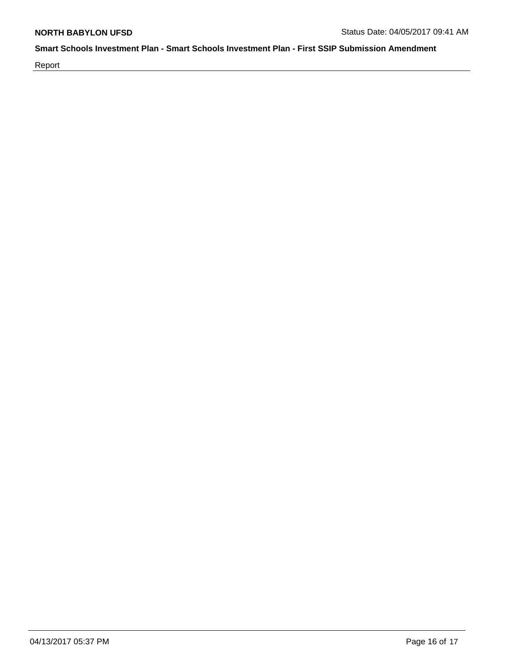Report